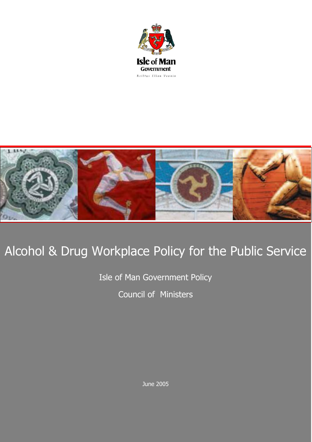



# Alcohol & Drug Workplace Policy for the Public Service

Isle of Man Government Policy Council of Ministers

June 2005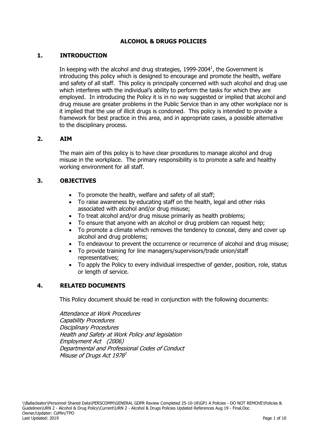#### **ALCOHOL & DRUGS POLICIES**

#### **1. INTRODUCTION**

In keeping with the alcohol and drug strategies, 1999-2004 $^1$ , the Government is introducing this policy which is designed to encourage and promote the health, welfare and safety of all staff. This policy is principally concerned with such alcohol and drug use which interferes with the individual's ability to perform the tasks for which they are employed. In introducing the Policy it is in no way suggested or implied that alcohol and drug misuse are greater problems in the Public Service than in any other workplace nor is it implied that the use of illicit drugs is condoned. This policy is intended to provide a framework for best practice in this area, and in appropriate cases, a possible alternative to the disciplinary process.

#### **2. AIM**

The main aim of this policy is to have clear procedures to manage alcohol and drug misuse in the workplace. The primary responsibility is to promote a safe and healthy working environment for all staff.

#### **3. OBJECTIVES**

- To promote the health, welfare and safety of all staff;
- To raise awareness by educating staff on the health, legal and other risks associated with alcohol and/or drug misuse;
- To treat alcohol and/or drug misuse primarily as health problems;
- To ensure that anyone with an alcohol or drug problem can request help;
- To promote a climate which removes the tendency to conceal, deny and cover up alcohol and drug problems;
- To endeavour to prevent the occurrence or recurrence of alcohol and drug misuse;
- To provide training for line managers/supervisors/trade union/staff representatives;
- To apply the Policy to every individual irrespective of gender, position, role, status or length of service.

#### **4. RELATED DOCUMENTS**

This Policy document should be read in conjunction with the following documents:

Attendance at Work Procedures Capability Procedures Disciplinary Procedures Health and Safety at Work Policy and legislation Employment Act (2006) Departmental and Professional Codes of Conduct Misuse of Drugs Act 1976<sup>2</sup>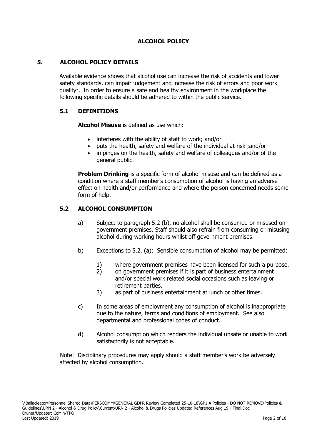### **ALCOHOL POLICY**

#### **5. ALCOHOL POLICY DETAILS**

Available evidence shows that alcohol use can increase the risk of accidents and lower safety standards, can impair judgement and increase the risk of errors and poor work quality<sup>3</sup>. In order to ensure a safe and healthy environment in the workplace the following specific details should be adhered to within the public service.

#### **5.1 DEFINITIONS**

**Alcohol Misuse** is defined as use which:

- interferes with the ability of staff to work; and/or
- puts the health, safety and welfare of the individual at risk ;and/or
- impinges on the health, safety and welfare of colleagues and/or of the general public.

**Problem Drinking** is a specific form of alcohol misuse and can be defined as a condition where a staff member's consumption of alcohol is having an adverse effect on health and/or performance and where the person concerned needs some form of help.

#### **5.2 ALCOHOL CONSUMPTION**

- a) Subject to paragraph 5.2 (b), no alcohol shall be consumed or misused on government premises. Staff should also refrain from consuming or misusing alcohol during working hours whilst off government premises.
- b) Exceptions to 5.2. (a); Sensible consumption of alcohol may be permitted:
	- 1) where government premises have been licensed for such a purpose.
	- 2) on government premises if it is part of business entertainment and/or special work related social occasions such as leaving or retirement parties.
	- 3) as part of business entertainment at lunch or other times.
- c) In some areas of employment any consumption of alcohol is inappropriate due to the nature, terms and conditions of employment. See also departmental and professional codes of conduct.
- d) Alcohol consumption which renders the individual unsafe or unable to work satisfactorily is not acceptable.

Note: Disciplinary procedures may apply should a staff member's work be adversely affected by alcohol consumption.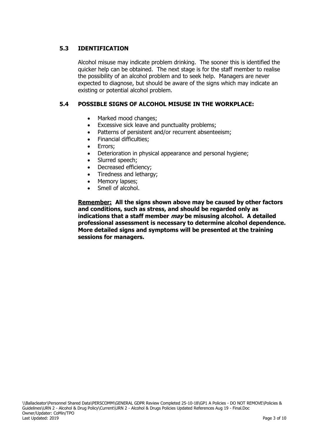### **5.3 IDENTIFICATION**

Alcohol misuse may indicate problem drinking. The sooner this is identified the quicker help can be obtained. The next stage is for the staff member to realise the possibility of an alcohol problem and to seek help. Managers are never expected to diagnose, but should be aware of the signs which may indicate an existing or potential alcohol problem.

### **5.4 POSSIBLE SIGNS OF ALCOHOL MISUSE IN THE WORKPLACE:**

- Marked mood changes;
- Excessive sick leave and punctuality problems;
- Patterns of persistent and/or recurrent absenteeism;
- Financial difficulties;
- Errors:
- Deterioration in physical appearance and personal hygiene;
- Slurred speech;
- Decreased efficiency;
- Tiredness and lethargy;
- Memory lapses:
- Smell of alcohol.

**Remember: All the signs shown above may be caused by other factors and conditions, such as stress, and should be regarded only as indications that a staff member may be misusing alcohol. A detailed professional assessment is necessary to determine alcohol dependence. More detailed signs and symptoms will be presented at the training sessions for managers.**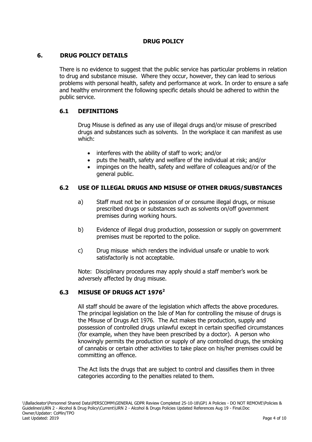### **DRUG POLICY**

#### **6. DRUG POLICY DETAILS**

There is no evidence to suggest that the public service has particular problems in relation to drug and substance misuse. Where they occur, however, they can lead to serious problems with personal health, safety and performance at work. In order to ensure a safe and healthy environment the following specific details should be adhered to within the public service.

#### **6.1 DEFINITIONS**

Drug Misuse is defined as any use of illegal drugs and/or misuse of prescribed drugs and substances such as solvents. In the workplace it can manifest as use which:

- interferes with the ability of staff to work; and/or
- puts the health, safety and welfare of the individual at risk; and/or
- impinges on the health, safety and welfare of colleagues and/or of the general public.

#### **6.2 USE OF ILLEGAL DRUGS AND MISUSE OF OTHER DRUGS/SUBSTANCES**

- a) Staff must not be in possession of or consume illegal drugs, or misuse prescribed drugs or substances such as solvents on/off government premises during working hours.
- b) Evidence of illegal drug production, possession or supply on government premises must be reported to the police.
- c) Drug misuse which renders the individual unsafe or unable to work satisfactorily is not acceptable.

Note: Disciplinary procedures may apply should a staff member's work be adversely affected by drug misuse.

#### **6.3 MISUSE OF DRUGS ACT 1976<sup>2</sup>**

All staff should be aware of the legislation which affects the above procedures. The principal legislation on the Isle of Man for controlling the misuse of drugs is the Misuse of Drugs Act 1976. The Act makes the production, supply and possession of controlled drugs unlawful except in certain specified circumstances (for example, when they have been prescribed by a doctor). A person who knowingly permits the production or supply of any controlled drugs, the smoking of cannabis or certain other activities to take place on his/her premises could be committing an offence.

The Act lists the drugs that are subject to control and classifies them in three categories according to the penalties related to them.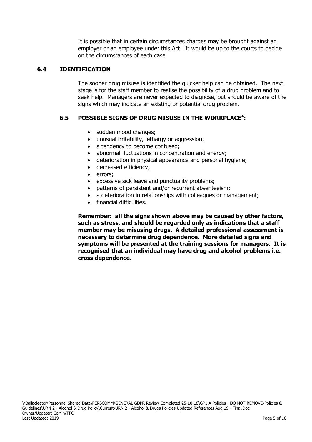It is possible that in certain circumstances charges may be brought against an employer or an employee under this Act. It would be up to the courts to decide on the circumstances of each case.

#### **6.4 IDENTIFICATION**

The sooner drug misuse is identified the quicker help can be obtained. The next stage is for the staff member to realise the possibility of a drug problem and to seek help. Managers are never expected to diagnose, but should be aware of the signs which may indicate an existing or potential drug problem.

#### **6.5 POSSIBLE SIGNS OF DRUG MISUSE IN THE WORKPLACE<sup>4</sup> :**

- sudden mood changes;
- unusual irritability, lethargy or aggression;
- a tendency to become confused;
- abnormal fluctuations in concentration and energy:
- deterioration in physical appearance and personal hygiene;
- decreased efficiency;
- errors;
- excessive sick leave and punctuality problems;
- patterns of persistent and/or recurrent absenteeism;
- a deterioration in relationships with colleagues or management;
- financial difficulties.

**Remember: all the signs shown above may be caused by other factors, such as stress, and should be regarded only as indications that a staff member may be misusing drugs. A detailed professional assessment is necessary to determine drug dependence. More detailed signs and symptoms will be presented at the training sessions for managers. It is recognised that an individual may have drug and alcohol problems i.e. cross dependence.**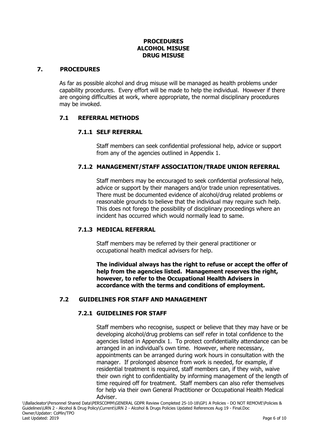#### **PROCEDURES ALCOHOL MISUSE DRUG MISUSE**

#### **7. PROCEDURES**

As far as possible alcohol and drug misuse will be managed as health problems under capability procedures. Every effort will be made to help the individual. However if there are ongoing difficulties at work, where appropriate, the normal disciplinary procedures may be invoked.

#### **7.1 REFERRAL METHODS**

#### **7.1.1 SELF REFERRAL**

Staff members can seek confidential professional help, advice or support from any of the agencies outlined in Appendix 1.

#### **7.1.2 MANAGEMENT/STAFF ASSOCIATION/TRADE UNION REFERRAL**

Staff members may be encouraged to seek confidential professional help, advice or support by their managers and/or trade union representatives. There must be documented evidence of alcohol/drug related problems or reasonable grounds to believe that the individual may require such help. This does not forego the possibility of disciplinary proceedings where an incident has occurred which would normally lead to same.

#### **7.1.3 MEDICAL REFERRAL**

Staff members may be referred by their general practitioner or occupational health medical advisers for help.

**The individual always has the right to refuse or accept the offer of help from the agencies listed. Management reserves the right, however, to refer to the Occupational Health Advisers in accordance with the terms and conditions of employment.** 

#### **7.2 GUIDELINES FOR STAFF AND MANAGEMENT**

#### **7.2.1 GUIDELINES FOR STAFF**

Staff members who recognise, suspect or believe that they may have or be developing alcohol/drug problems can self refer in total confidence to the agencies listed in Appendix 1. To protect confidentiality attendance can be arranged in an individual's own time. However, where necessary, appointments can be arranged during work hours in consultation with the manager. If prolonged absence from work is needed, for example, if residential treatment is required, staff members can, if they wish, waive their own right to confidentiality by informing management of the length of time required off for treatment. Staff members can also refer themselves for help via their own General Practitioner or Occupational Health Medical Adviser.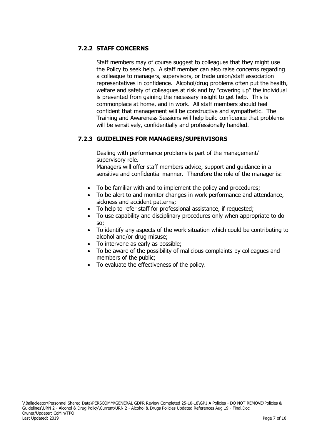### **7.2.2 STAFF CONCERNS**

Staff members may of course suggest to colleagues that they might use the Policy to seek help.A staff member can also raise concerns regarding a colleague to managers, supervisors, or trade union/staff association representatives in confidence. Alcohol/drug problems often put the health, welfare and safety of colleagues at risk and by "covering up" the individual is prevented from gaining the necessary insight to get help. This is commonplace at home, and in work. All staff members should feel confident that management will be constructive and sympathetic. The Training and Awareness Sessions will help build confidence that problems will be sensitively, confidentially and professionally handled.

#### **7.2.3 GUIDELINES FOR MANAGERS/SUPERVISORS**

Dealing with performance problems is part of the management/ supervisory role.

Managers will offer staff members advice, support and guidance in a sensitive and confidential manner. Therefore the role of the manager is:

- To be familiar with and to implement the policy and procedures;
- To be alert to and monitor changes in work performance and attendance, sickness and accident patterns;
- To help to refer staff for professional assistance, if requested;
- To use capability and disciplinary procedures only when appropriate to do so;
- To identify any aspects of the work situation which could be contributing to alcohol and/or drug misuse;
- To intervene as early as possible;
- To be aware of the possibility of malicious complaints by colleagues and members of the public;
- To evaluate the effectiveness of the policy.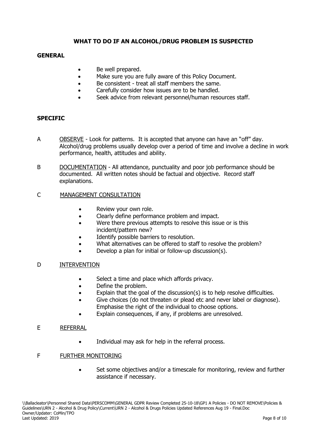#### **WHAT TO DO IF AN ALCOHOL/DRUG PROBLEM IS SUSPECTED**

#### **GENERAL**

- Be well prepared.
- Make sure you are fully aware of this Policy Document.
- Be consistent treat all staff members the same.
- Carefully consider how issues are to be handled.
- Seek advice from relevant personnel/human resources staff.

#### **SPECIFIC**

- A OBSERVE Look for patterns. It is accepted that anyone can have an "off" day. Alcohol/drug problems usually develop over a period of time and involve a decline in work performance, health, attitudes and ability.
- B DOCUMENTATION All attendance, punctuality and poor job performance should be documented. All written notes should be factual and objective. Record staff explanations.

#### C MANAGEMENT CONSULTATION

- Review your own role.
- Clearly define performance problem and impact.
- Were there previous attempts to resolve this issue or is this incident/pattern new?
- Identify possible barriers to resolution.
- What alternatives can be offered to staff to resolve the problem?
- Develop a plan for initial or follow-up discussion(s).

#### D INTERVENTION

- Select a time and place which affords privacy.
- Define the problem.
- Explain that the goal of the discussion(s) is to help resolve difficulties.
- Give choices (do not threaten or plead etc and never label or diagnose). Emphasise the right of the individual to choose options.
- Explain consequences, if any, if problems are unresolved.

#### E REFERRAL

• Individual may ask for help in the referral process.

#### F FURTHER MONITORING

 Set some objectives and/or a timescale for monitoring, review and further assistance if necessary.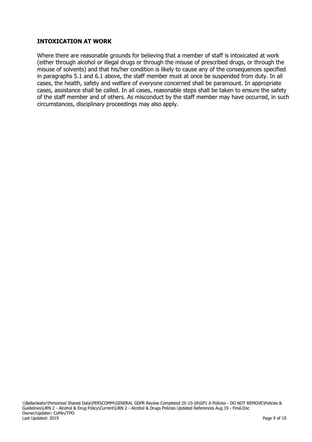#### **INTOXICATION AT WORK**

Where there are reasonable grounds for believing that a member of staff is intoxicated at work (either through alcohol or illegal drugs or through the misuse of prescribed drugs, or through the misuse of solvents) and that his/her condition is likely to cause any of the consequences specified in paragraphs 5.1 and 6.1 above, the staff member must at once be suspended from duty. In all cases, the health, safety and welfare of everyone concerned shall be paramount. In appropriate cases, assistance shall be called. In all cases, reasonable steps shall be taken to ensure the safety of the staff member and of others. As misconduct by the staff member may have occurred, in such circumstances, disciplinary proceedings may also apply.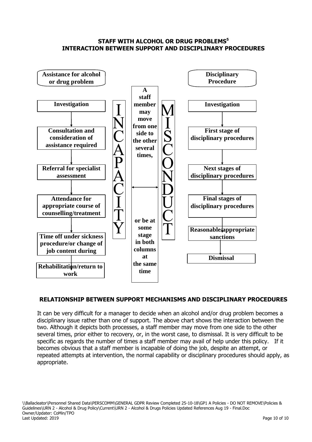#### **STAFF WITH ALCOHOL OR DRUG PROBLEMS<sup>5</sup> INTERACTION BETWEEN SUPPORT AND DISCIPLINARY PROCEDURES**



#### **RELATIONSHIP BETWEEN SUPPORT MECHANISMS AND DISCIPLINARY PROCEDURES**

It can be very difficult for a manager to decide when an alcohol and/or drug problem becomes a disciplinary issue rather than one of support. The above chart shows the interaction between the two. Although it depicts both processes, a staff member may move from one side to the other several times, prior either to recovery, or, in the worst case, to dismissal. It is very difficult to be specific as regards the number of times a staff member may avail of help under this policy. If it becomes obvious that a staff member is incapable of doing the job, despite an attempt, or repeated attempts at intervention, the normal capability or disciplinary procedures should apply, as appropriate.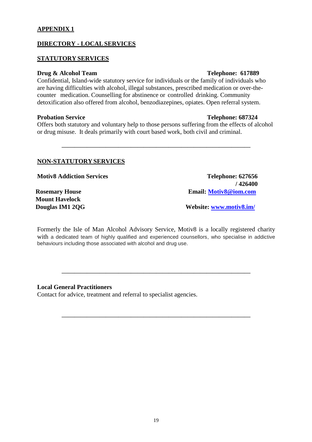#### **APPENDIX 1**

#### **DIRECTORY - LOCALSERVICES**

#### **STATUTORY SERVICES**

#### **Drug & Alcohol Team Telephone: 617889**

Confidential, Island-wide statutory service for individuals or the family of individuals who are having difficulties with alcohol, illegal substances, prescribed medication or over-thecounter medication. Counselling for abstinence or controlled drinking. Community detoxification also offered from alcohol, benzodiazepines, opiates. Open referral system.

#### **Probation Service Telephone: 687324**

Offers both statutory and voluntary help to those persons suffering from the effects of alcohol or drug misuse. It deals primarily with court based work, both civil and criminal.

**——————————————————————————————**

#### **NON-STATUTORY SERVICES**

**Motiv8 Addiction Services Telephone: 627656** 

**Mount Havelock**

**/ 426400 Rosemary House Email: [Motiv8@iom.com](mailto:Motiv8@iom.com)**

**Douglas IM1 2QG** Website: **WWW.motiv8.im** 

Formerly the Isle of Man Alcohol Advisory Service, Motiv8 is a locally registered charity with a dedicated team of highly qualified and experienced counsellors, who specialise in addictive behaviours including those associated with alcohol and drug use.

**——————————————————————————————**

**——————————————————————————————**

#### **Local General Practitioners**

Contact for advice, treatment and referral to specialist agencies.